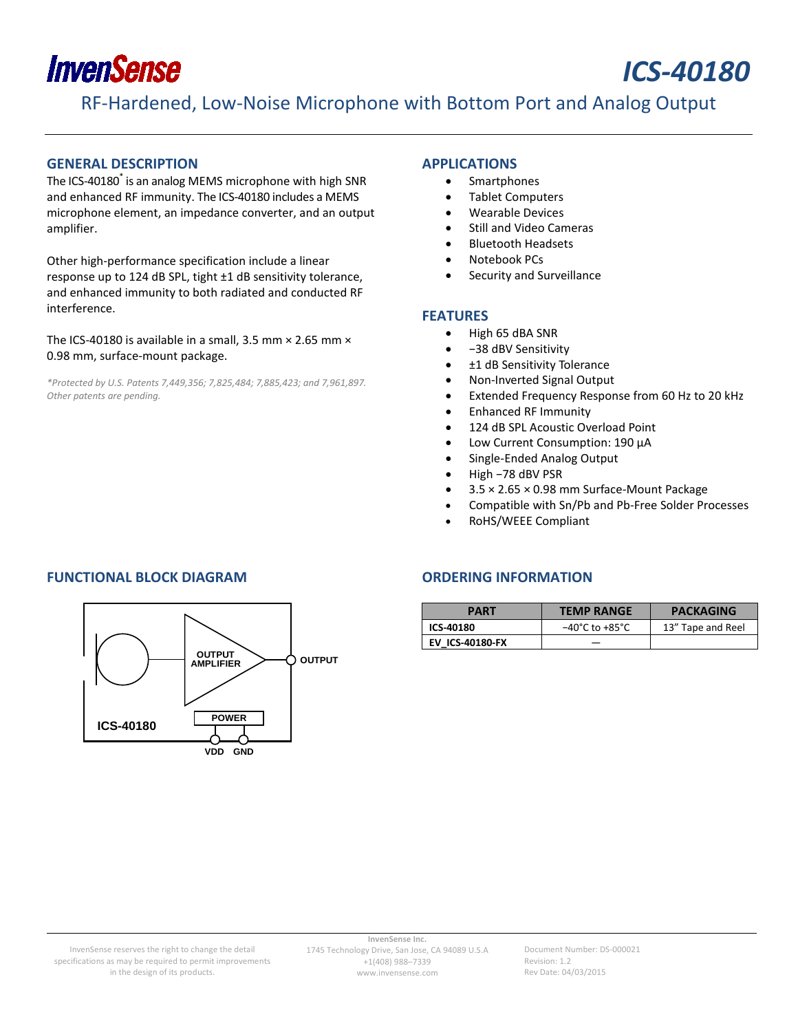

# *ICS-40180*

RF-Hardened, Low-Noise Microphone with Bottom Port and Analog Output

#### <span id="page-0-0"></span>**GENERAL DESCRIPTION**

The ICS-40180\* is an analog MEMS microphone with high SNR and enhanced RF immunity. The ICS-40180 includes a MEMS microphone element, an impedance converter, and an output amplifier.

Other high-performance specification include a linear response up to 124 dB SPL, tight ±1 dB sensitivity tolerance, and enhanced immunity to both radiated and conducted RF interference.

The ICS-40180 is available in a small, 3.5 mm  $\times$  2.65 mm  $\times$ 0.98 mm, surface-mount package.

*\*Protected by U.S. Patents 7,449,356; 7,825,484; 7,885,423; and 7,961,897. Other patents are pending.*

#### <span id="page-0-1"></span>**APPLICATIONS**

- Smartphones
- Tablet Computers
- Wearable Devices
- Still and Video Cameras
- Bluetooth Headsets
- Notebook PCs
- Security and Surveillance

#### <span id="page-0-2"></span>**FEATURES**

- High 65 dBA SNR
- −38 dBV Sensitivity
- ±1 dB Sensitivity Tolerance
- Non-Inverted Signal Output
- Extended Frequency Response from 60 Hz to 20 kHz
- Enhanced RF Immunity
- 124 dB SPL Acoustic Overload Point
- Low Current Consumption: 190 µA
- Single-Ended Analog Output
- High −78 dBV PSR
- 3.5 × 2.65 × 0.98 mm Surface-Mount Package
- Compatible with Sn/Pb and Pb-Free Solder Processes
- RoHS/WEEE Compliant

### <span id="page-0-3"></span>**FUNCTIONAL BLOCK DIAGRAM ORDERING INFORMATION**



<span id="page-0-4"></span>

| <b>PART</b>            | <b>TEMP RANGE</b>                  | <b>PACKAGING</b>  |  |
|------------------------|------------------------------------|-------------------|--|
| ICS-40180              | $-40^{\circ}$ C to $+85^{\circ}$ C | 13" Tape and Reel |  |
| <b>EV ICS-40180-FX</b> |                                    |                   |  |

Document Number: DS-000021 Revision: 1.2 Rev Date: 04/03/2015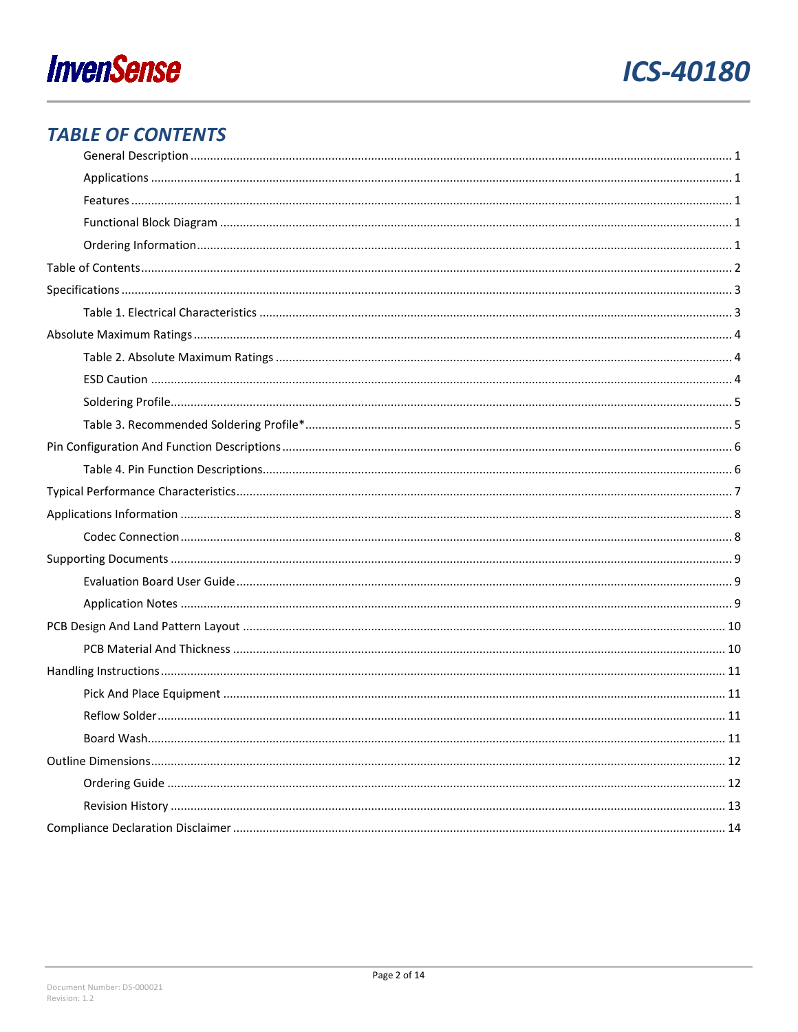



### <span id="page-1-0"></span>**TABLE OF CONTENTS**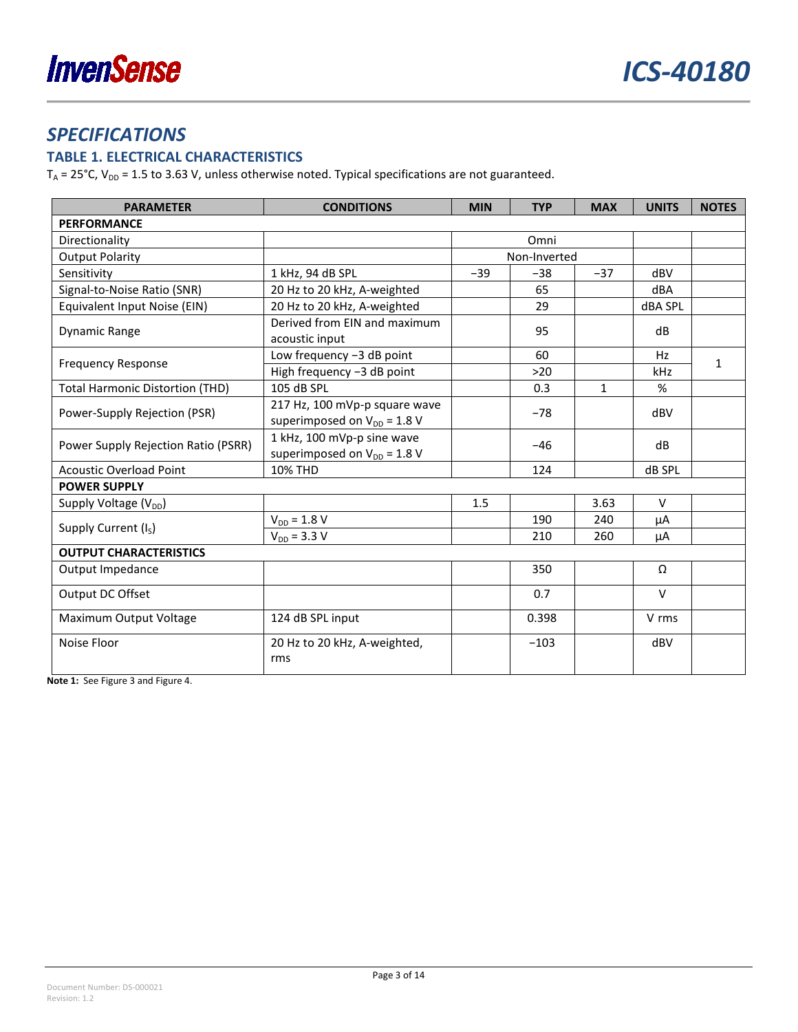### <span id="page-2-0"></span>*SPECIFICATIONS*

### <span id="page-2-1"></span>**TABLE 1. ELECTRICAL CHARACTERISTICS**

 $T_A$  = 25°C,  $V_{DD}$  = 1.5 to 3.63 V, unless otherwise noted. Typical specifications are not guaranteed.

| <b>PARAMETER</b>                                                                                      | <b>CONDITIONS</b>                                                 |              | <b>TYP</b> | <b>MAX</b>   | <b>UNITS</b> | <b>NOTES</b> |
|-------------------------------------------------------------------------------------------------------|-------------------------------------------------------------------|--------------|------------|--------------|--------------|--------------|
| <b>PERFORMANCE</b>                                                                                    |                                                                   |              |            |              |              |              |
| Directionality                                                                                        |                                                                   |              | Omni       |              |              |              |
| <b>Output Polarity</b>                                                                                |                                                                   | Non-Inverted |            |              |              |              |
| Sensitivity                                                                                           | 1 kHz, 94 dB SPL                                                  | $-39$        | $-38$      | $-37$        | dBV          |              |
| Signal-to-Noise Ratio (SNR)                                                                           | 20 Hz to 20 kHz, A-weighted                                       |              | 65         |              | dBA          |              |
| Equivalent Input Noise (EIN)                                                                          | 20 Hz to 20 kHz, A-weighted                                       |              | 29         |              | dBA SPL      |              |
| Derived from EIN and maximum<br>Dynamic Range<br>acoustic input                                       |                                                                   |              | 95         |              | dB           |              |
|                                                                                                       | Low frequency -3 dB point                                         |              | 60         |              | Hz           | 1            |
| <b>Frequency Response</b>                                                                             | High frequency -3 dB point                                        |              | $>20$      |              | kHz          |              |
| <b>Total Harmonic Distortion (THD)</b>                                                                | 105 dB SPL                                                        |              | 0.3        | $\mathbf{1}$ | %            |              |
| Power-Supply Rejection (PSR)                                                                          | 217 Hz, 100 mVp-p square wave<br>superimposed on $V_{DD} = 1.8 V$ | $-78$        |            |              | dBV          |              |
| 1 kHz, 100 mVp-p sine wave<br>Power Supply Rejection Ratio (PSRR)<br>superimposed on $V_{DD} = 1.8 V$ |                                                                   |              | $-46$      |              | dB           |              |
| <b>10% THD</b><br><b>Acoustic Overload Point</b>                                                      |                                                                   |              | 124        |              | dB SPL       |              |
| <b>POWER SUPPLY</b>                                                                                   |                                                                   |              |            |              |              |              |
| Supply Voltage (V <sub>DD</sub> )                                                                     |                                                                   | 1.5          |            | 3.63         | $\vee$       |              |
| Supply Current (I <sub>S</sub> )                                                                      | $V_{DD} = 1.8 V$                                                  |              | 190        | 240          | μA           |              |
|                                                                                                       | $V_{DD} = 3.3 V$                                                  |              | 210        | 260          | μA           |              |
| <b>OUTPUT CHARACTERISTICS</b>                                                                         |                                                                   |              |            |              |              |              |
| Output Impedance                                                                                      |                                                                   |              | 350        |              | Ω            |              |
| Output DC Offset                                                                                      |                                                                   |              | 0.7        |              | $\vee$       |              |
| Maximum Output Voltage                                                                                | 124 dB SPL input                                                  |              | 0.398      |              | V rms        |              |
| Noise Floor<br>20 Hz to 20 kHz, A-weighted,<br>rms                                                    |                                                                   |              | $-103$     |              | dBV          |              |

**Note 1:** Se[e Figure 3](#page-6-1) an[d Figure 4.](#page-6-2)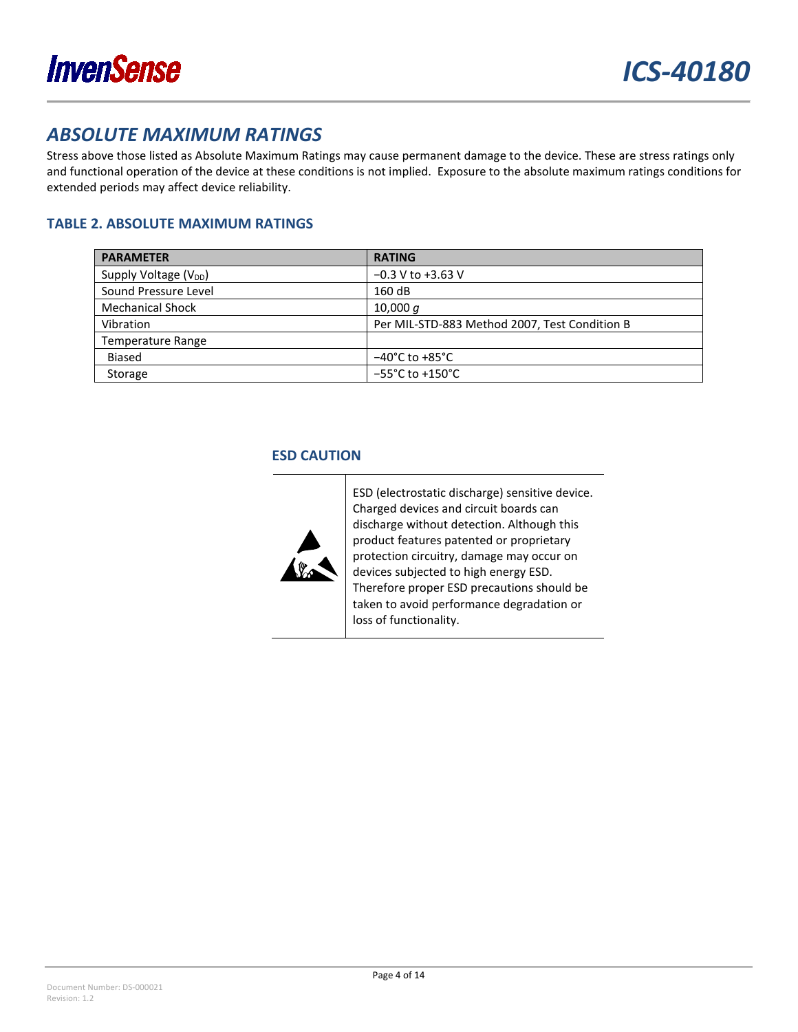

### <span id="page-3-0"></span>*ABSOLUTE MAXIMUM RATINGS*

Stress above those listed as Absolute Maximum Ratings may cause permanent damage to the device. These are stress ratings only and functional operation of the device at these conditions is not implied. Exposure to the absolute maximum ratings conditions for extended periods may affect device reliability.

### <span id="page-3-1"></span>**TABLE 2. ABSOLUTE MAXIMUM RATINGS**

<span id="page-3-2"></span>

| <b>PARAMETER</b>                  | <b>RATING</b>                                 |
|-----------------------------------|-----------------------------------------------|
| Supply Voltage (V <sub>DD</sub> ) | $-0.3$ V to $+3.63$ V                         |
| Sound Pressure Level              | 160 dB                                        |
| <b>Mechanical Shock</b>           | 10,000 $q$                                    |
| Vibration                         | Per MIL-STD-883 Method 2007, Test Condition B |
| Temperature Range                 |                                               |
| <b>Biased</b>                     | $-40^{\circ}$ C to $+85^{\circ}$ C            |
| Storage                           | $-55^{\circ}$ C to +150 $^{\circ}$ C          |

### **ESD CAUTION**



ESD (electrostatic discharge) sensitive device. Charged devices and circuit boards can discharge without detection. Although this product features patented or proprietary protection circuitry, damage may occur on devices subjected to high energy ESD. Therefore proper ESD precautions should be taken to avoid performance degradation or loss of functionality.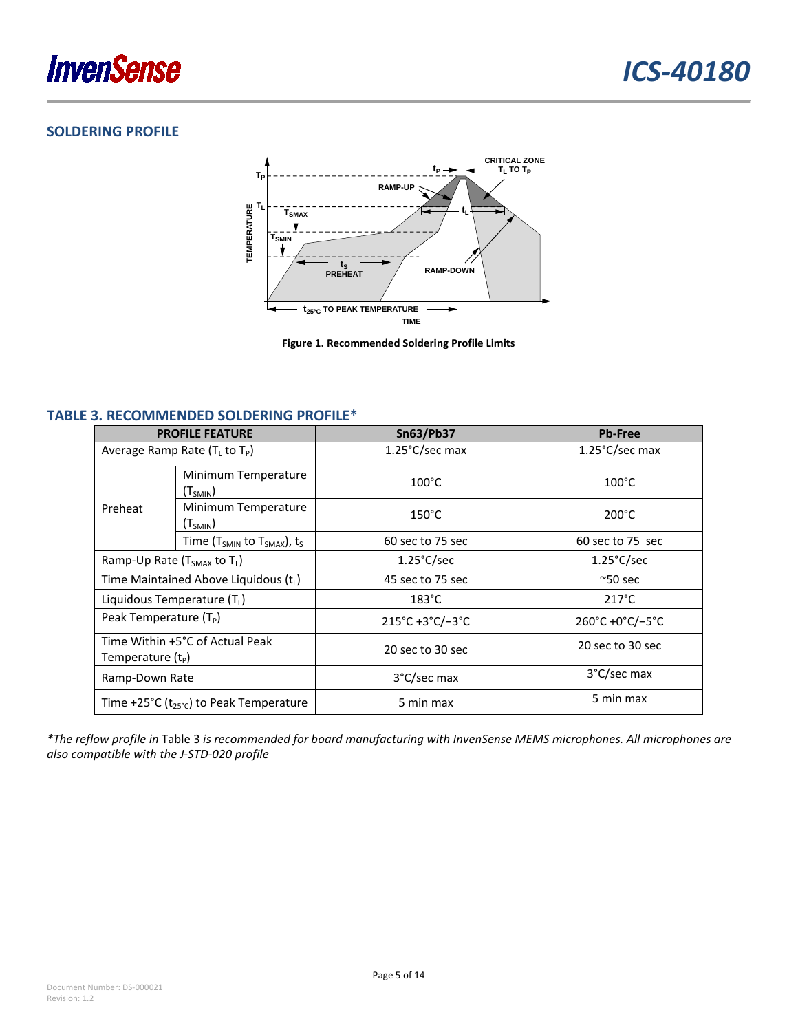

### <span id="page-4-0"></span>**SOLDERING PROFILE**



**Figure 1. Recommended Soldering Profile Limits**

#### <span id="page-4-2"></span><span id="page-4-1"></span>**TABLE 3. RECOMMENDED SOLDERING PROFILE\***

| <b>PROFILE FEATURE</b>                                 |                                       | <b>Sn63/Pb37</b>                                | <b>Pb-Free</b>                                  |
|--------------------------------------------------------|---------------------------------------|-------------------------------------------------|-------------------------------------------------|
| Average Ramp Rate ( $T_L$ to $T_P$ )                   |                                       | $1.25^{\circ}$ C/sec max                        | $1.25^{\circ}$ C/sec max                        |
| Preheat                                                | Minimum Temperature<br>$(T_{SMIN})$   | $100^{\circ}$ C                                 | $100^{\circ}$ C                                 |
|                                                        | Minimum Temperature<br>$(T_{SMIN})$   | $150^{\circ}$ C                                 | $200^{\circ}$ C                                 |
|                                                        | Time ( $T_{SMIN}$ to $T_{SMAX}$ ), ts | 60 sec to 75 sec                                | 60 sec to 75 sec                                |
| Ramp-Up Rate (T <sub>SMAX</sub> to T <sub>L</sub> )    |                                       | $1.25^{\circ}$ C/sec                            | $1.25^{\circ}$ C/sec                            |
| Time Maintained Above Liquidous (t <sub>L</sub> )      |                                       | 45 sec to 75 sec                                | $^{\sim}50$ sec                                 |
| Liquidous Temperature $(T_1)$                          |                                       | $183^{\circ}$ C                                 | $217^{\circ}$ C                                 |
| Peak Temperature $(T_P)$                               |                                       | $215^{\circ}$ C +3 $^{\circ}$ C/-3 $^{\circ}$ C | $260^{\circ}$ C +0 $^{\circ}$ C/-5 $^{\circ}$ C |
| Time Within +5°C of Actual Peak<br>Temperature $(t_P)$ |                                       | 20 sec to 30 sec                                | 20 sec to 30 sec                                |
| Ramp-Down Rate                                         |                                       | 3°C/sec max                                     | 3°C/sec max                                     |
| Time +25°C ( $t_{25}$ °c) to Peak Temperature          |                                       | 5 min max                                       | 5 min max                                       |

*\*The reflow profile in* [Table 3](#page-4-1) *is recommended for board manufacturing with InvenSense MEMS microphones. All microphones are also compatible with the J-STD-020 profile*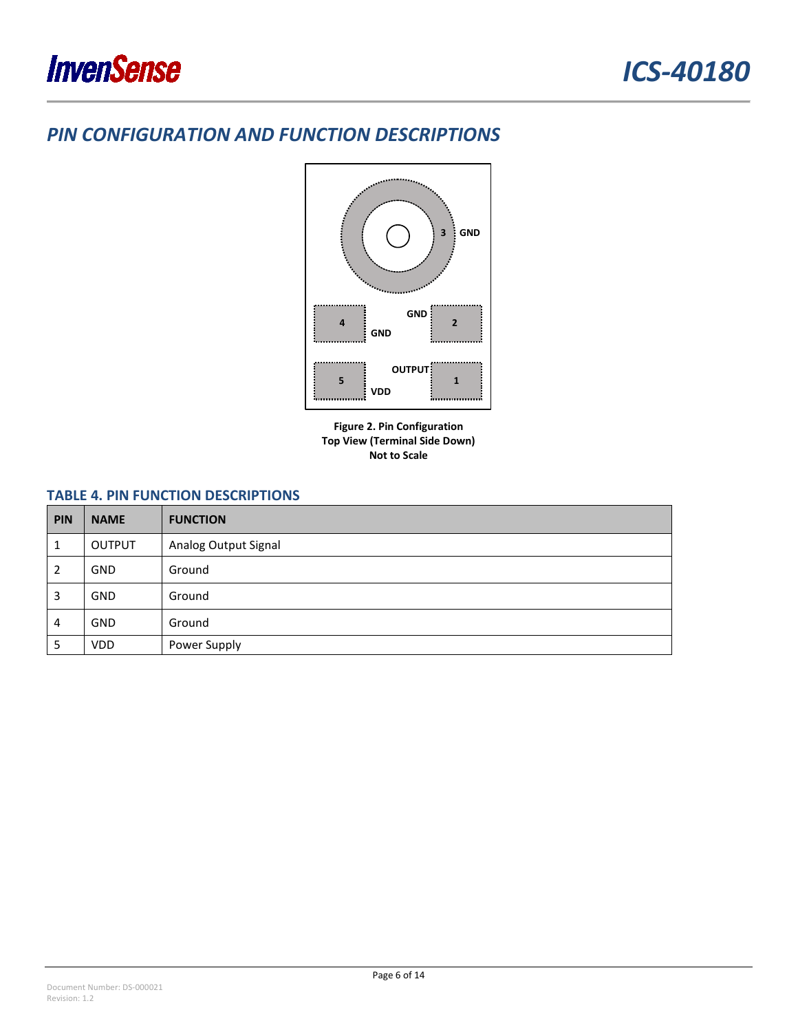### <span id="page-5-0"></span>*PIN CONFIGURATION AND FUNCTION DESCRIPTIONS*



**Figure 2. Pin Configuration Top View (Terminal Side Down) Not to Scale**

### <span id="page-5-1"></span>**TABLE 4. PIN FUNCTION DESCRIPTIONS**

| <b>PIN</b> | <b>NAME</b>   | <b>FUNCTION</b>      |
|------------|---------------|----------------------|
|            | <b>OUTPUT</b> | Analog Output Signal |
| 2          | <b>GND</b>    | Ground               |
| 3          | <b>GND</b>    | Ground               |
| 4          | <b>GND</b>    | Ground               |
| 5          | <b>VDD</b>    | Power Supply         |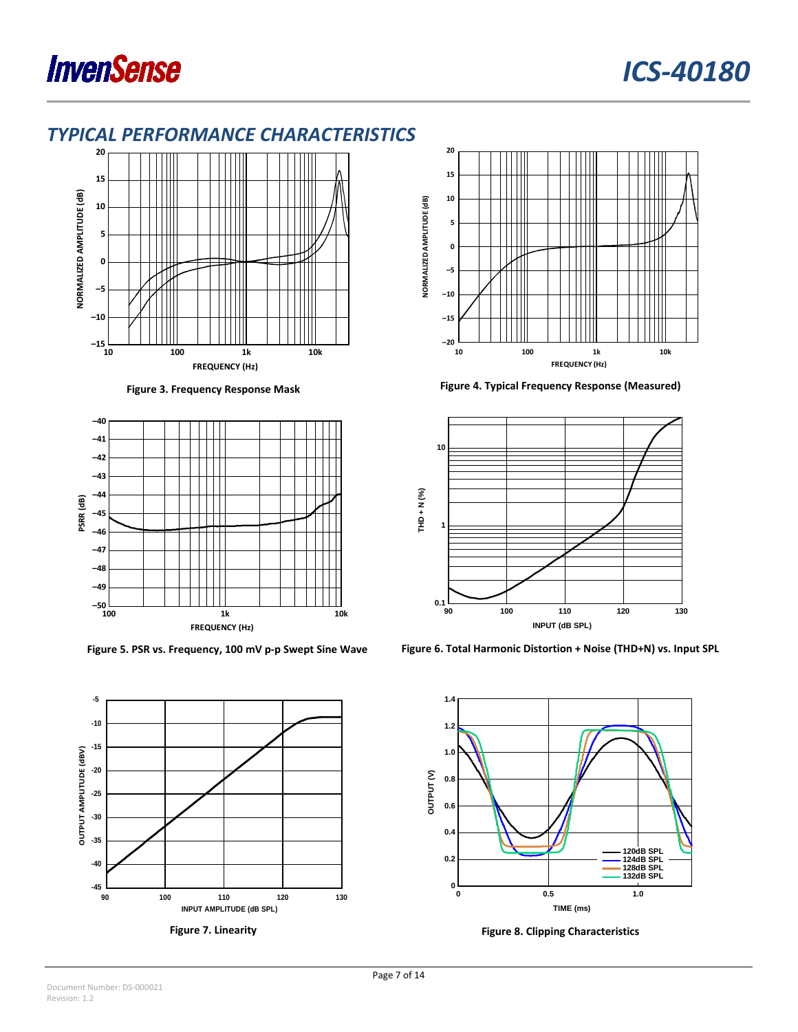

### <span id="page-6-0"></span>*TYPICAL PERFORMANCE CHARACTERISTICS*



<span id="page-6-1"></span>





**Figure 3. Frequency Response Mask Figure 4. Typical Frequency Response (Measured)**

<span id="page-6-2"></span>

**Figure 5. PSR vs. Frequency, 100 mV p-p Swept Sine Wave Figure 6. Total Harmonic Distortion + Noise (THD+N) vs. Input SPL**



**Figure 7. Linearity Figure 8. Clipping Characteristics**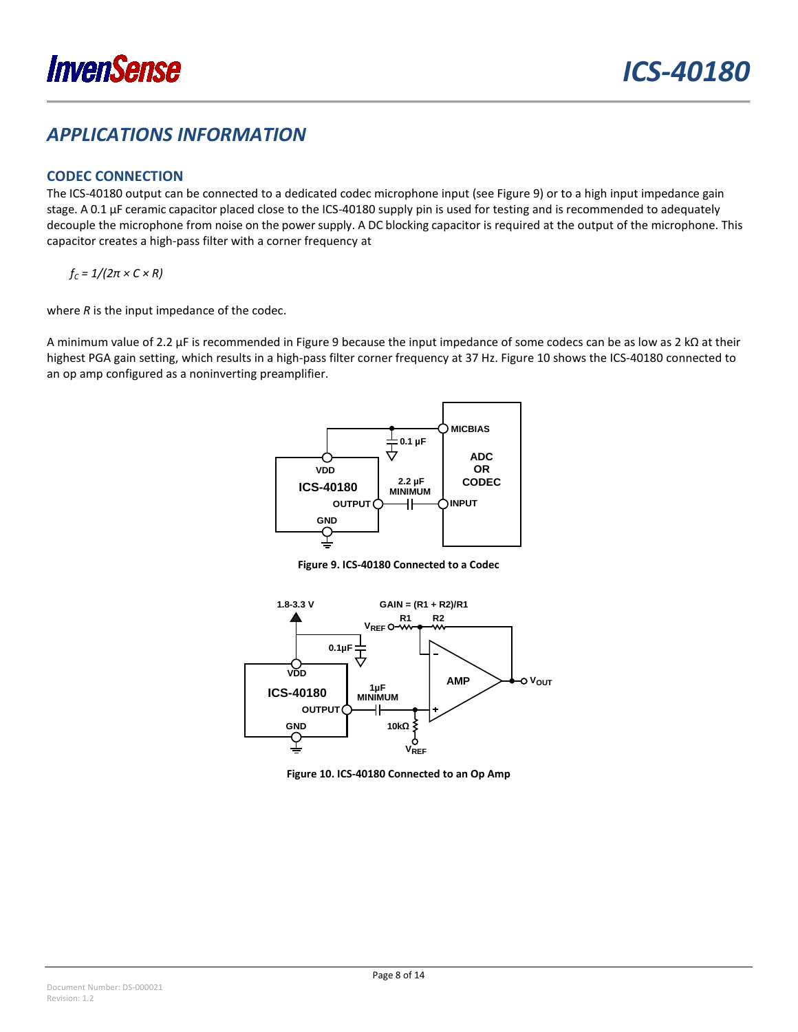### <span id="page-7-0"></span>*APPLICATIONS INFORMATION*

### <span id="page-7-1"></span>**CODEC CONNECTION**

The ICS-40180 output can be connected to a dedicated codec microphone input (se[e Figure 9\)](#page-7-2) or to a high input impedance gain stage. A 0.1 µF ceramic capacitor placed close to the ICS-40180 supply pin is used for testing and is recommended to adequately decouple the microphone from noise on the power supply. A DC blocking capacitor is required at the output of the microphone. This capacitor creates a high-pass filter with a corner frequency at

 $f_C = 1/(2\pi \times C \times R)$ 

where *R* is the input impedance of the codec.

A minimum value of 2.2 μF is recommended in [Figure 9](#page-7-2) because the input impedance of some codecs can be as low as 2 kΩ at their highest PGA gain setting, which results in a high-pass filter corner frequency at 37 Hz[. Figure 10](#page-7-3) shows the ICS-40180 connected to an op amp configured as a noninverting preamplifier.



**Figure 9. ICS-40180 Connected to a Codec**

<span id="page-7-2"></span>

<span id="page-7-3"></span>**Figure 10. ICS-40180 Connected to an Op Amp**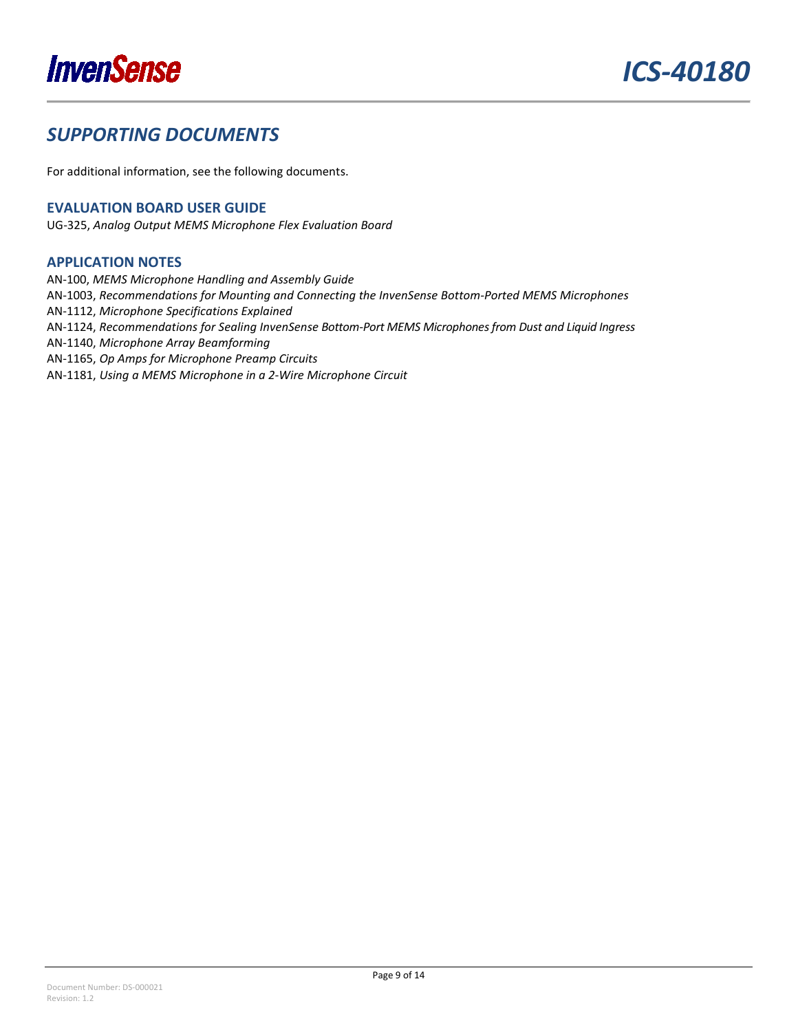

## <span id="page-8-0"></span>*SUPPORTING DOCUMENTS*

For additional information, see the following documents.

### <span id="page-8-1"></span>**EVALUATION BOARD USER GUIDE**

UG-325, *Analog Output MEMS Microphone Flex Evaluation Board*

#### <span id="page-8-2"></span>**APPLICATION NOTES**

AN-100, *MEMS Microphone Handling and Assembly Guide*

AN-1003, *Recommendations for Mounting and Connecting the InvenSense Bottom-Ported MEMS Microphones*

AN-1112, *Microphone Specifications Explained*

AN-1124, *Recommendations for Sealing InvenSense Bottom-Port MEMS Microphones from Dust and Liquid Ingress*

AN-1140, *Microphone Array Beamforming*

AN-1165, *Op Amps for Microphone Preamp Circuits*

AN-1181, *Using a MEMS Microphone in a 2-Wire Microphone Circuit*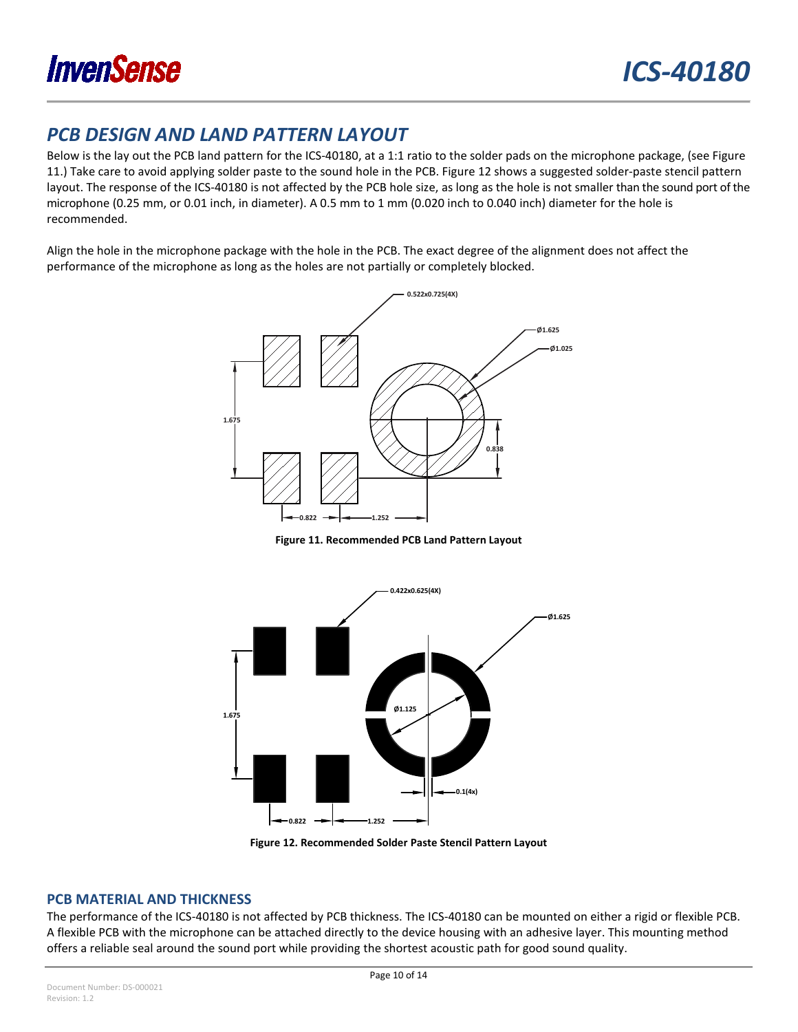

### <span id="page-9-0"></span>*PCB DESIGN AND LAND PATTERN LAYOUT*

Below is the lay out the PCB land pattern for th[e ICS-40180,](http://www.analog.com/ADMP522?doc=ADMP522.pdf) at a 1:1 ratio to the solder pads on the microphone package, (see [Figure](#page-9-2)  [11.](#page-9-2)) Take care to avoid applying solder paste to the sound hole in the PCB. [Figure 12](#page-9-3) shows a suggested solder-paste stencil pattern layout. The response of the ICS-40180 is not affected by the PCB hole size, as long as the hole is not smaller than the sound port of the microphone (0.25 mm, or 0.01 inch, in diameter). A 0.5 mm to 1 mm (0.020 inch to 0.040 inch) diameter for the hole is recommended.

Align the hole in the microphone package with the hole in the PCB. The exact degree of the alignment does not affect the performance of the microphone as long as the holes are not partially or completely blocked.



**Figure 11. Recommended PCB Land Pattern Layout**

<span id="page-9-2"></span>

**Figure 12. Recommended Solder Paste Stencil Pattern Layout**

#### <span id="page-9-3"></span><span id="page-9-1"></span>**PCB MATERIAL AND THICKNESS**

The performance of the ICS-40180 is not affected by PCB thickness. The ICS-40180 can be mounted on either a rigid or flexible PCB. A flexible PCB with the microphone can be attached directly to the device housing with an adhesive layer. This mounting method offers a reliable seal around the sound port while providing the shortest acoustic path for good sound quality.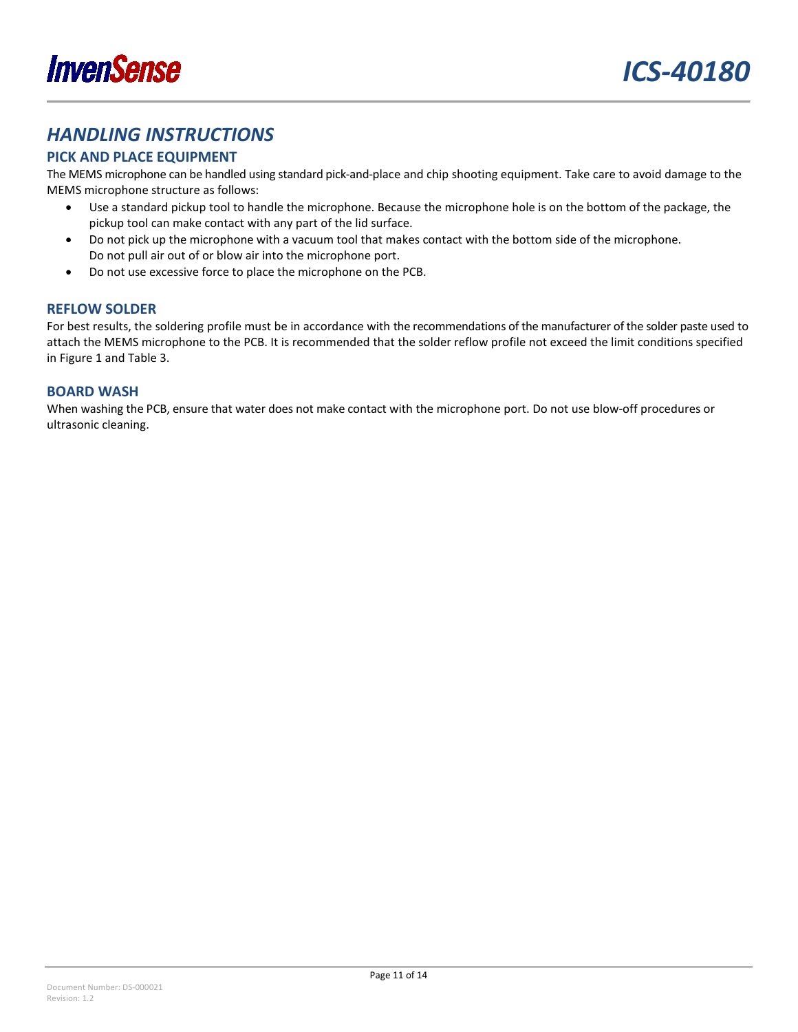

### <span id="page-10-0"></span>*HANDLING INSTRUCTIONS*

### <span id="page-10-1"></span>**PICK AND PLACE EQUIPMENT**

The MEMS microphone can be handled using standard pick-and-place and chip shooting equipment. Take care to avoid damage to the MEMS microphone structure as follows:

- Use a standard pickup tool to handle the microphone. Because the microphone hole is on the bottom of the package, the pickup tool can make contact with any part of the lid surface.
- Do not pick up the microphone with a vacuum tool that makes contact with the bottom side of the microphone. Do not pull air out of or blow air into the microphone port.
- Do not use excessive force to place the microphone on the PCB.

#### <span id="page-10-2"></span>**REFLOW SOLDER**

For best results, the soldering profile must be in accordance with the recommendations of the manufacturer of the solder paste used to attach the MEMS microphone to the PCB. It is recommended that the solder reflow profile not exceed the limit conditions specified in [Figure 1](#page-4-2) and [Table 3.](#page-4-1)

#### <span id="page-10-3"></span>**BOARD WASH**

When washing the PCB, ensure that water does not make contact with the microphone port. Do not use blow-off procedures or ultrasonic cleaning.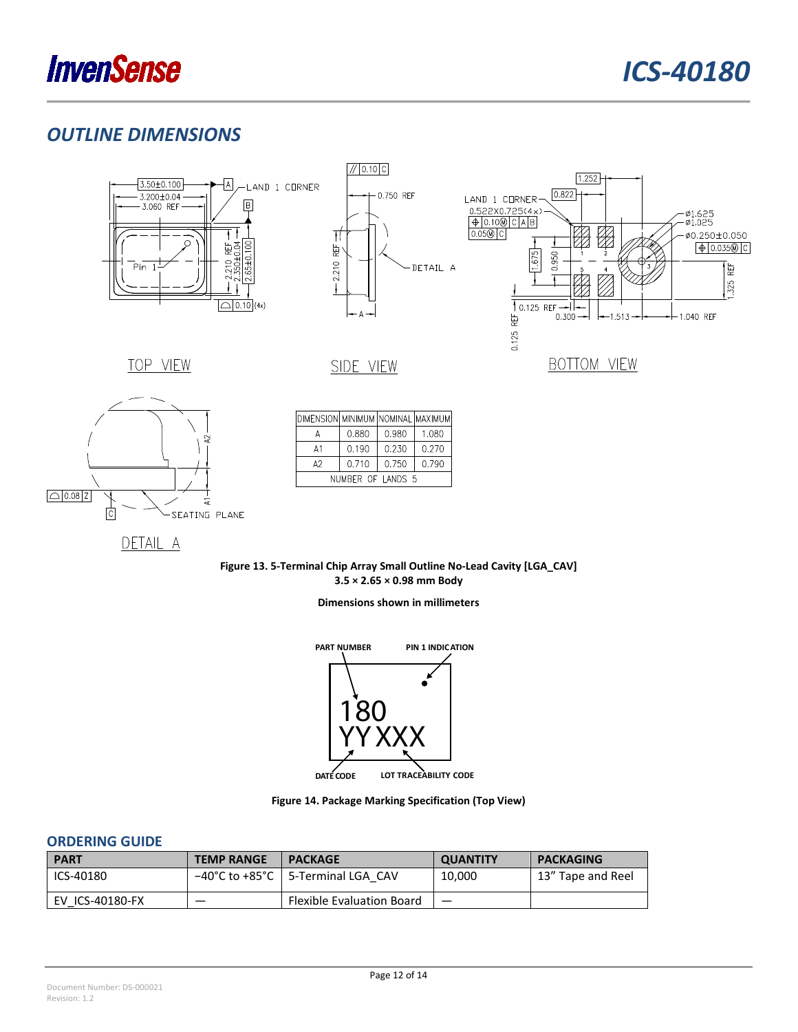

### <span id="page-11-0"></span>*OUTLINE DIMENSIONS*







TOP VIEW



| DIMENSION  MINIMUM   NOMINAL   MAXIMUM |       |       |       |
|----------------------------------------|-------|-------|-------|
| А                                      | 0.880 | 0.980 | 1.080 |
| A1                                     | 0.190 | 0.230 | 0.270 |
| A2                                     | 0.710 | 0.750 | 0.790 |
| NUMBER OF LANDS 5                      |       |       |       |

SIDE VIEW

DETAIL A

**Figure 13. 5-Terminal Chip Array Small Outline No-Lead Cavity [LGA\_CAV] 3.5 × 2.65 × 0.98 mm Body**

**Dimensions shown in millimeters**



**Figure 14. Package Marking Specification (Top View)**

### <span id="page-11-1"></span>**ORDERING GUIDE**

| <b>PART</b>     | <b>TEMP RANGE</b> | <b>PACKAGE</b>                      | <b>QUANTITY</b> | <b>PACKAGING</b>  |
|-----------------|-------------------|-------------------------------------|-----------------|-------------------|
| ICS-40180       |                   | -40°C to +85°C   5-Terminal LGA CAV | 10,000          | 13" Tape and Reel |
| EV ICS-40180-FX |                   | <b>Flexible Evaluation Board</b>    |                 |                   |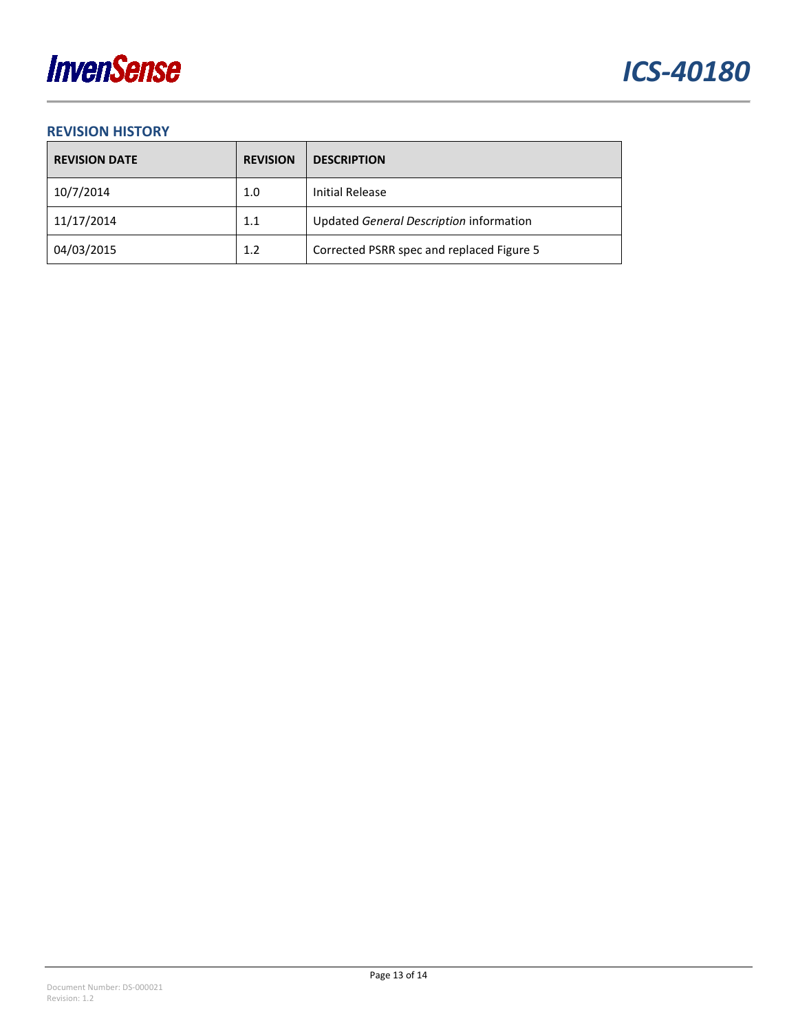

### <span id="page-12-0"></span>**REVISION HISTORY**

| <b>REVISION DATE</b> | <b>REVISION</b> | <b>DESCRIPTION</b>                        |
|----------------------|-----------------|-------------------------------------------|
| 10/7/2014            | 1.0             | <b>Initial Release</b>                    |
| 11/17/2014           | 1.1             | Updated General Description information   |
| 04/03/2015           | 1.2             | Corrected PSRR spec and replaced Figure 5 |